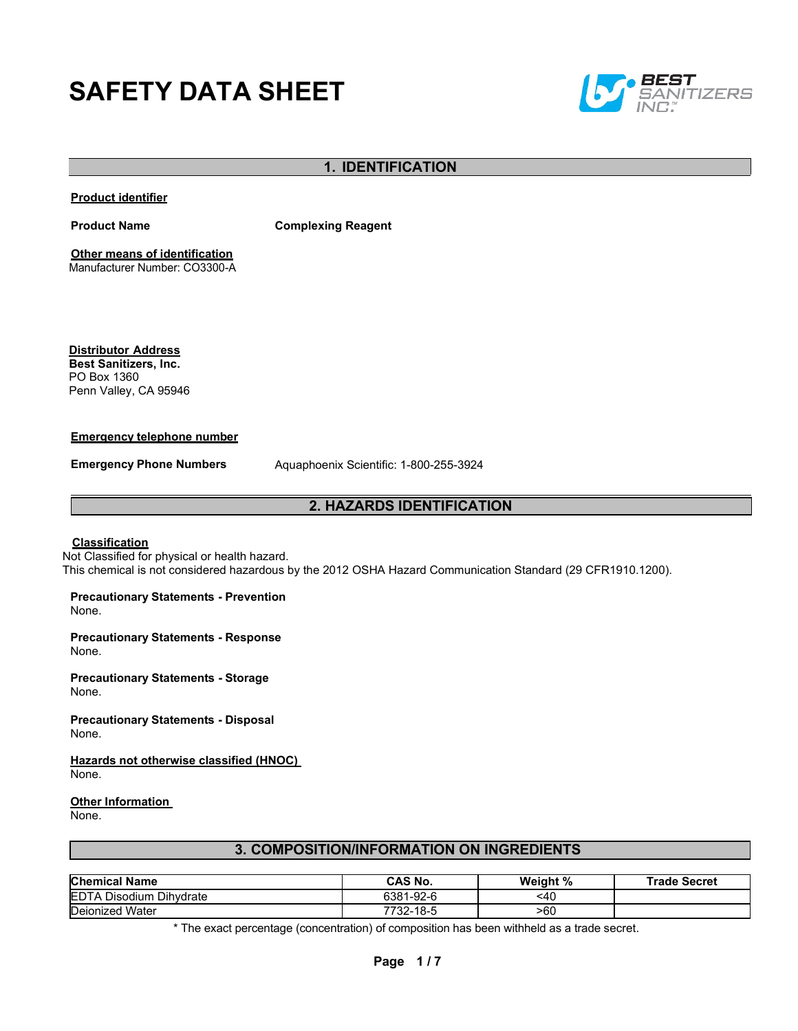# **SAFETY DATA SHEET**



## **1. IDENTIFICATION**

**Product identifier**

**Product Name Complexing Reagent**

**Other means of identification** Manufacturer Number: CO3300-A

**Distributor Address Best Sanitizers, Inc.**  PO Box 1360 Penn Valley, CA 95946

#### **Emergency telephone number**

**Emergency Phone Numbers** Aquaphoenix Scientific: 1-800-255-3924

### **2. HAZARDS IDENTIFICATION**

#### **Classification**

Not Classified for physical or health hazard. This chemical is not considered hazardous by the 2012 OSHA Hazard Communication Standard (29 CFR1910.1200).

**Precautionary Statements - Prevention**

None.

**Precautionary Statements - Response** None.

**Precautionary Statements - Storage**  None.

**Precautionary Statements - Disposal** None.

**Hazards not otherwise classified (HNOC)**  None.

#### **Other Information**

None.

## **3. COMPOSITION/INFORMATION ON INGREDIENTS**

| <b>Chemical Name</b>           | CAS No.   | Weight % | <b>Trade Secret</b> |
|--------------------------------|-----------|----------|---------------------|
| <b>EDTA Disodium Dihydrate</b> | 6381-92-6 | <40      |                     |
| Deionized<br>l Water           | 7732-18-5 | >60      |                     |

\* The exact percentage (concentration) of composition has been withheld as a trade secret.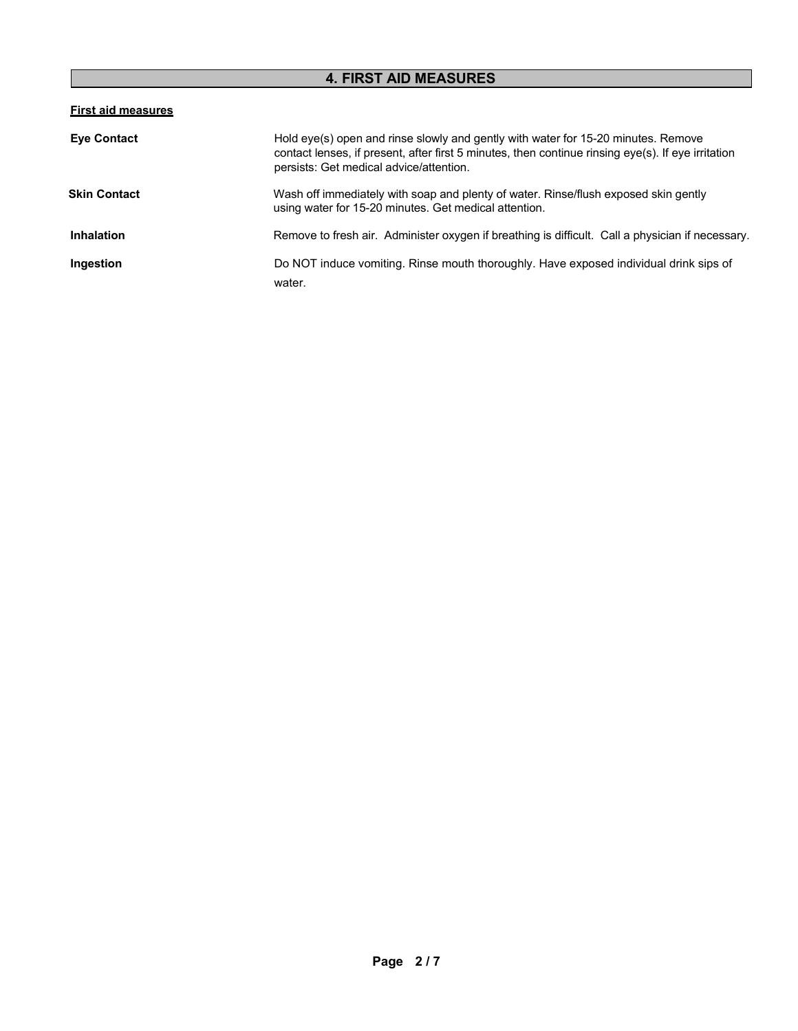# **4. FIRST AID MEASURES**

## **First aid measures**

| <b>Eye Contact</b>  | Hold eye(s) open and rinse slowly and gently with water for 15-20 minutes. Remove<br>contact lenses, if present, after first 5 minutes, then continue rinsing eye(s). If eye irritation<br>persists: Get medical advice/attention. |
|---------------------|------------------------------------------------------------------------------------------------------------------------------------------------------------------------------------------------------------------------------------|
| <b>Skin Contact</b> | Wash off immediately with soap and plenty of water. Rinse/flush exposed skin gently<br>using water for 15-20 minutes. Get medical attention.                                                                                       |
| <b>Inhalation</b>   | Remove to fresh air. Administer oxygen if breathing is difficult. Call a physician if necessary.                                                                                                                                   |
| Ingestion           | Do NOT induce vomiting. Rinse mouth thoroughly. Have exposed individual drink sips of<br>water.                                                                                                                                    |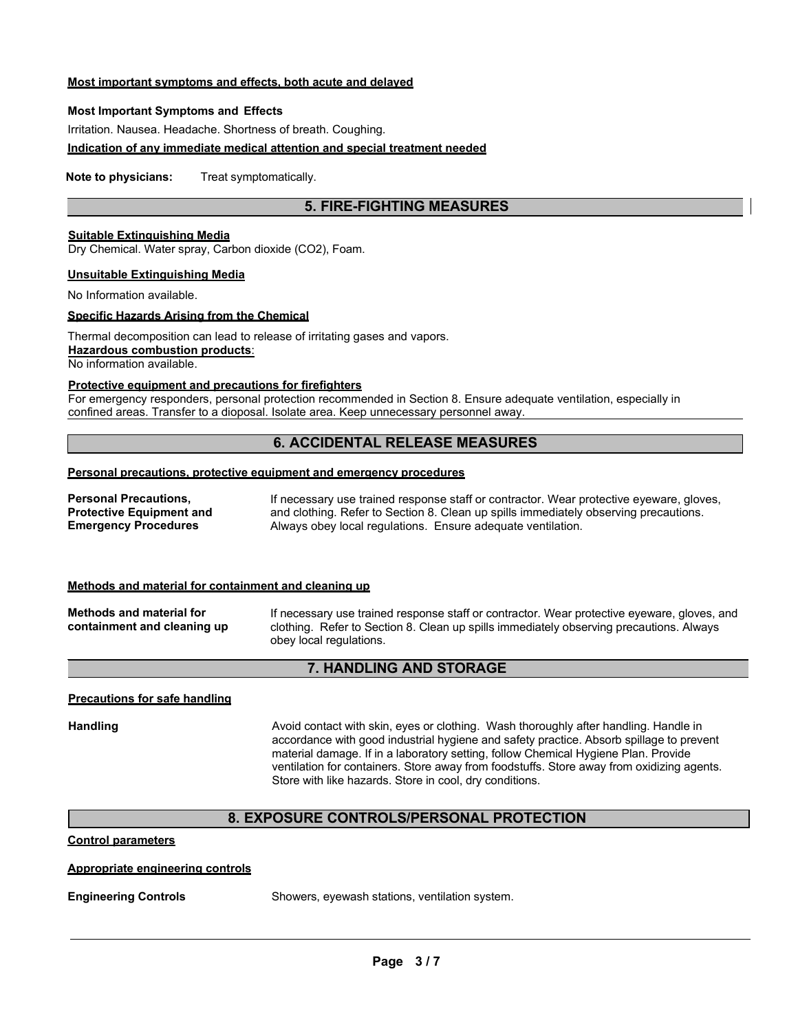### **Most important symptoms and effects, both acute and delayed**

#### **Most Important Symptoms and Effects**

Irritation. Nausea. Headache. Shortness of breath. Coughing.

#### **Indication of any immediate medical attention and special treatment needed**

**Note to physicians:** Treat symptomatically.

## **5. FIRE-FIGHTING MEASURES**

## **Suitable Extinguishing Media**

Dry Chemical. Water spray, Carbon dioxide (CO2), Foam.

#### **Unsuitable Extinguishing Media**

No Information available.

## **Specific Hazards Arising from the Chemical**

Thermal decomposition can lead to release of irritating gases and vapors.

**Hazardous combustion products**:

No information available.

#### **Protective equipment and precautions for firefighters**

For emergency responders, personal protection recommended in Section 8. Ensure adequate ventilation, especially in confined areas. Transfer to a dioposal. Isolate area. Keep unnecessary personnel away.

## **6. ACCIDENTAL RELEASE MEASURES**

## **Personal precautions, protective equipment and emergency procedures**

| Personal Precautions,           | If necessary use trained response staff or contractor. Wear protective eyeware, gloves, |
|---------------------------------|-----------------------------------------------------------------------------------------|
| <b>Protective Equipment and</b> | and clothing. Refer to Section 8. Clean up spills immediately observing precautions.    |
| <b>Emergency Procedures</b>     | Always obey local regulations. Ensure adequate ventilation.                             |

#### **Methods and material for containment and cleaning up**

**Methods and material for containment and cleaning up** If necessary use trained response staff or contractor. Wear protective eyeware, gloves, and clothing. Refer to Section 8. Clean up spills immediately observing precautions. Always obey local regulations.

## **7. HANDLING AND STORAGE**

#### **Precautions for safe handling**

Handling **Avoid contact with skin, eyes or clothing.** Wash thoroughly after handling. Handle in accordance with good industrial hygiene and safety practice. Absorb spillage to prevent material damage. If in a laboratory setting, follow Chemical Hygiene Plan. Provide ventilation for containers. Store away from foodstuffs. Store away from oxidizing agents. Store with like hazards. Store in cool, dry conditions.

## **8. EXPOSURE CONTROLS/PERSONAL PROTECTION**

#### **Control parameters**

#### **Appropriate engineering controls**

**Engineering Controls** Showers, eyewash stations, ventilation system.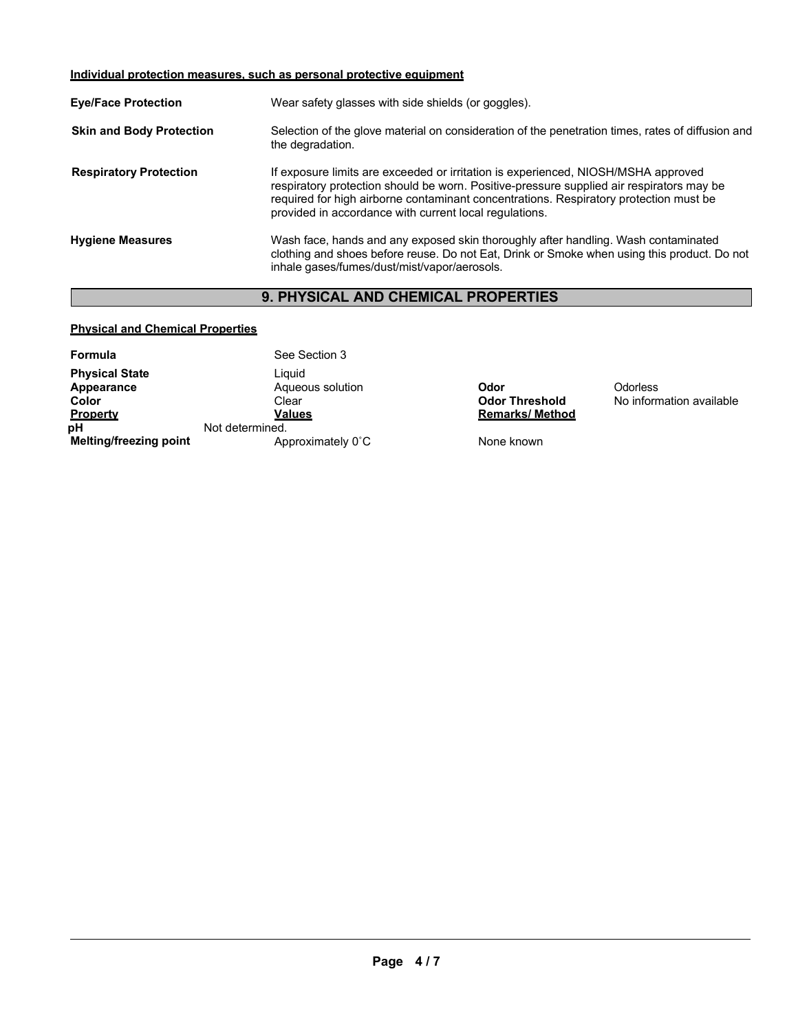## **Individual protection measures, such as personal protective equipment**

| <b>Eye/Face Protection</b>      | Wear safety glasses with side shields (or goggles).                                                                                                                                                                                                                                                                              |
|---------------------------------|----------------------------------------------------------------------------------------------------------------------------------------------------------------------------------------------------------------------------------------------------------------------------------------------------------------------------------|
| <b>Skin and Body Protection</b> | Selection of the glove material on consideration of the penetration times, rates of diffusion and<br>the degradation.                                                                                                                                                                                                            |
| <b>Respiratory Protection</b>   | If exposure limits are exceeded or irritation is experienced, NIOSH/MSHA approved<br>respiratory protection should be worn. Positive-pressure supplied air respirators may be<br>required for high airborne contaminant concentrations. Respiratory protection must be<br>provided in accordance with current local regulations. |
| <b>Hygiene Measures</b>         | Wash face, hands and any exposed skin thoroughly after handling. Wash contaminated<br>clothing and shoes before reuse. Do not Eat, Drink or Smoke when using this product. Do not<br>inhale gases/fumes/dust/mist/vapor/aerosols.                                                                                                |

# **9. PHYSICAL AND CHEMICAL PROPERTIES**

## **Physical and Chemical Properties**

| Formula                       | See Section 3     |                       |           |
|-------------------------------|-------------------|-----------------------|-----------|
| <b>Physical State</b>         | Liauid            |                       |           |
| Appearance                    | Aqueous solution  | Odor                  | Odorless  |
| Color                         | Clear             | <b>Odor Threshold</b> | No inforr |
| <b>Property</b>               | Values            | <b>Remarks/Method</b> |           |
| pН                            | Not determined.   |                       |           |
| <b>Melting/freezing point</b> | Approximately 0°C | None known            |           |

**Odor Threshold** No information available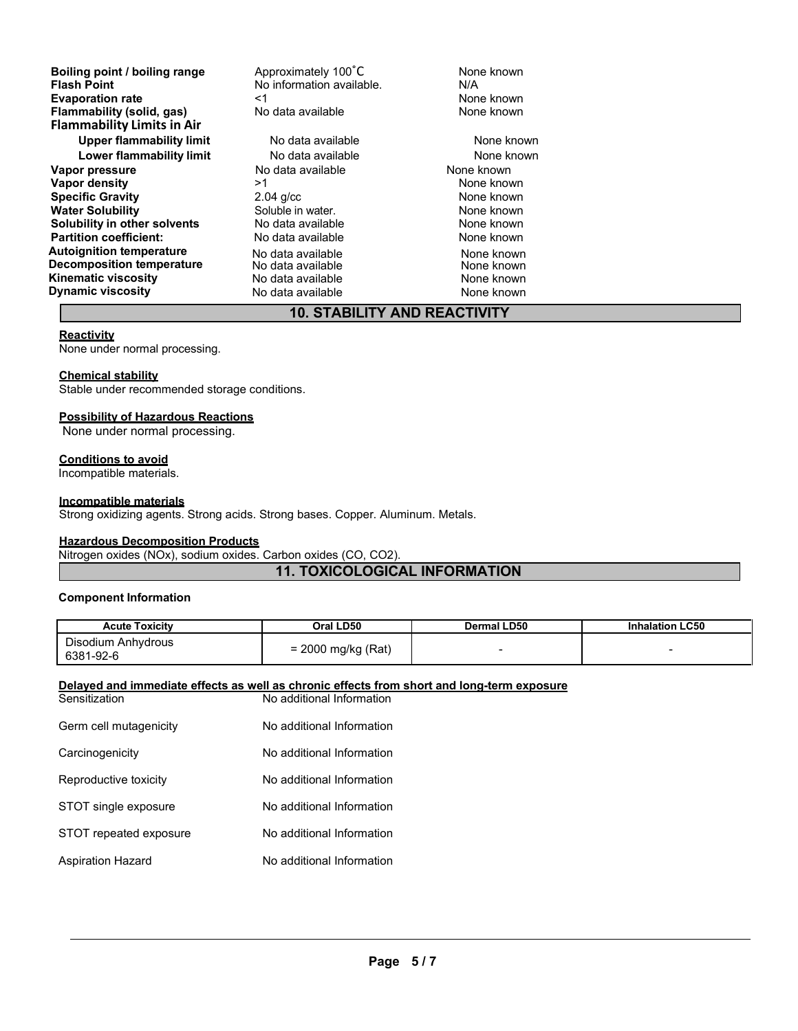**Boiling point / boiling range** Approximately 100<sup>°</sup>C None known<br> **Flash Point** No information available. MA **Evaporation rate rate**  $\leq$ 1  $\leq$  **Reports the September of the September 2 Alone known<br>
<b>Flammability (solid. gas)** No data available **Reports Alone known Flammability** (solid, gas) **Flammability Limits in Air Upper flammability limit** No data available None Known **Lower flammability limit** No data available None Known **Vapor pressure** No data available None known **Vapor density** >1 None known **Specific Gravity 1988** 2.04 g/cc **COVID-1000 10000 10000 10000 10000 10000 10000 10000 10000 10000 10000 10000 10000 10000 10000 10000 10000 10000 10000 10000 10000 10000 10000 10000 10000 10000 10000 10000 10000 10000 Water Solubility** Soluble in water. None known **Solubility in other solvents** No data available **None known**<br> **Partition coefficient:** No data available **None known**<br>
None known **Partition coefficient: Autoignition temperature No data available None known**<br> **Decomposition temperature** Mo data available **None known**<br>
None known **Decomposition temperature** No data available None Known<br> **Kinematic viscosity** None Known<br>
None known **Kinematic viscosity**<br> **Communical Dynamic viscosity**<br> **No data available Dynamic viscosity No data available None known** 

**Figal Point Point Point Point Point Point Point Point Point Point Point Point Point Point Point Point Point Po**<br> **Fig. 1** Point Point Point Point Point Point Point Point Point Point Point Point Point Point Point Point Poi

## **10. STABILITY AND REACTIVITY**

#### **Reactivity**

None under normal processing.

## **Chemical stability**

Stable under recommended storage conditions.

#### **Possibility of Hazardous Reactions**

None under normal processing.

#### **Conditions to avoid**

Incompatible materials.

#### **Incompatible materials**

Strong oxidizing agents. Strong acids. Strong bases. Copper. Aluminum. Metals.

#### **Hazardous Decomposition Products**

Nitrogen oxides (NOx), sodium oxides. Carbon oxides (CO, CO2).

#### **11. TOXICOLOGICAL INFORMATION**

#### **Component Information**

| <b>Acute Toxicity</b>           | Oral LD50          | Dermal LD50 | <b>Inhalation LC50</b> |
|---------------------------------|--------------------|-------------|------------------------|
| Disodium Anhydrous<br>6381-92-6 | = 2000 mg/kg (Rat) |             |                        |

#### **Delayed and immediate effects as well as chronic effects from short and long-term exposure**

| Sensitization          | No additional Information |
|------------------------|---------------------------|
| Germ cell mutagenicity | No additional Information |
| Carcinogenicity        | No additional Information |
| Reproductive toxicity  | No additional Information |
| STOT single exposure   | No additional Information |
| STOT repeated exposure | No additional Information |
| Aspiration Hazard      | No additional Information |
|                        |                           |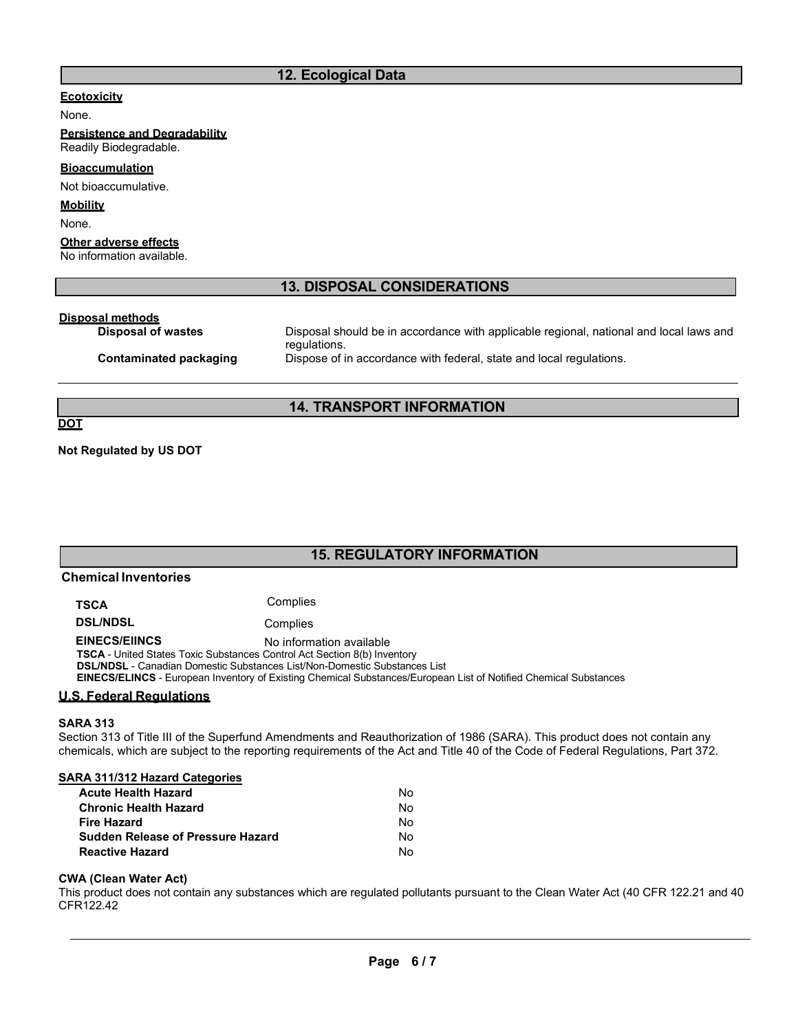## **12. Ecological Data**

## **Ecotoxicity**

None.

**Persistence and Degradability** Readily Biodegradable.

## **Bioaccumulation**

Not bioaccumulative.

#### **Mobility**

None.

## **Other adverse effects**

No information available.

## **13. DISPOSAL CONSIDERATIONS**

# **Disposal methods**

Disposal should be in accordance with applicable regional, national and local laws and regulations. **Contaminated packaging** Dispose of in accordance with federal, state and local regulations.

## **14. TRANSPORT INFORMATION**

**DOT**

**Not Regulated by US DOT**

# **15. REGULATORY INFORMATION**

| <b>Chemical Inventories</b>                                                                                                                                                                                                                                                                                                                        |                                                                                                                                                                                                                                                                |  |  |  |
|----------------------------------------------------------------------------------------------------------------------------------------------------------------------------------------------------------------------------------------------------------------------------------------------------------------------------------------------------|----------------------------------------------------------------------------------------------------------------------------------------------------------------------------------------------------------------------------------------------------------------|--|--|--|
| <b>TSCA</b>                                                                                                                                                                                                                                                                                                                                        | Complies                                                                                                                                                                                                                                                       |  |  |  |
| <b>DSL/NDSL</b>                                                                                                                                                                                                                                                                                                                                    | Complies                                                                                                                                                                                                                                                       |  |  |  |
| <b>EINECS/EIINCS</b><br>No information available<br><b>TSCA</b> - United States Toxic Substances Control Act Section 8(b) Inventory<br><b>DSL/NDSL</b> - Canadian Domestic Substances List/Non-Domestic Substances List<br><b>EINECS/ELINCS</b> - European Inventory of Existing Chemical Substances/European List of Notified Chemical Substances |                                                                                                                                                                                                                                                                |  |  |  |
| <u> U.S. Federal Regulations</u>                                                                                                                                                                                                                                                                                                                   |                                                                                                                                                                                                                                                                |  |  |  |
| <b>SARA 313</b>                                                                                                                                                                                                                                                                                                                                    |                                                                                                                                                                                                                                                                |  |  |  |
|                                                                                                                                                                                                                                                                                                                                                    | Section 313 of Title III of the Superfund Amendments and Reauthorization of 1986 (SARA). This product does not contain any<br>chemicals, which are subject to the reporting requirements of the Act and Title 40 of the Code of Federal Requlations, Part 372. |  |  |  |
| SARA 311/312 Hazard Categories                                                                                                                                                                                                                                                                                                                     |                                                                                                                                                                                                                                                                |  |  |  |
| <b>Acute Health Hazard</b>                                                                                                                                                                                                                                                                                                                         | No.                                                                                                                                                                                                                                                            |  |  |  |
| Chronic Hoalth Hazard                                                                                                                                                                                                                                                                                                                              | $N_{\Omega}$                                                                                                                                                                                                                                                   |  |  |  |

| Nο |
|----|
| No |
| No |
| No |
| No |
|    |

#### **CWA (Clean Water Act)**

This product does not contain any substances which are regulated pollutants pursuant to the Clean Water Act (40 CFR 122.21 and 40 CFR122.42